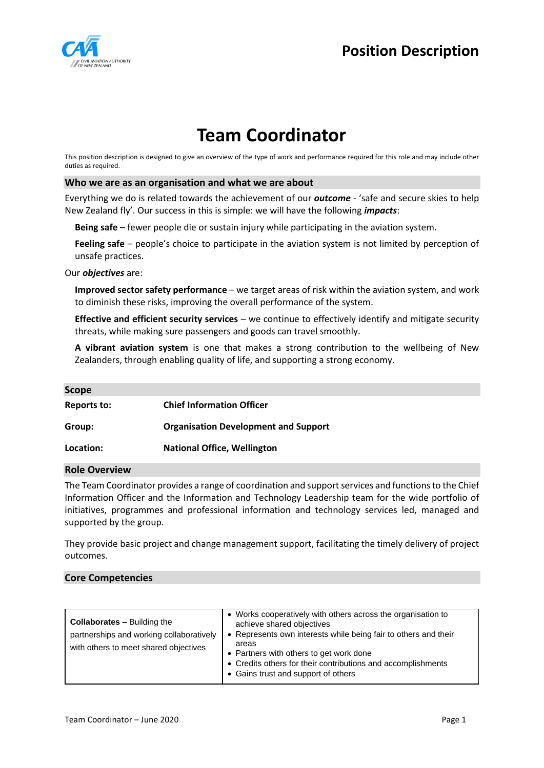

# **Position Description**

# **Team Coordinator**

This position description is designed to give an overview of the type of work and performance required for this role and may include other duties as required.

#### **Who we are as an organisation and what we are about**

Everything we do is related towards the achievement of our *outcome* - 'safe and secure skies to help New Zealand fly'. Our success in this is simple: we will have the following *impacts*:

**Being safe** – fewer people die or sustain injury while participating in the aviation system.

Feeling safe – people's choice to participate in the aviation system is not limited by perception of unsafe practices.

Our *objectives* are:

**Improved sector safety performance** – we target areas of risk within the aviation system, and work to diminish these risks, improving the overall performance of the system.

**Effective and efficient security services** – we continue to effectively identify and mitigate security threats, while making sure passengers and goods can travel smoothly.

**A vibrant aviation system** is one that makes a strong contribution to the wellbeing of New Zealanders, through enabling quality of life, and supporting a strong economy.

| <b>Scope</b> |                                             |
|--------------|---------------------------------------------|
| Reports to:  | <b>Chief Information Officer</b>            |
| Group:       | <b>Organisation Development and Support</b> |
| Location:    | <b>National Office, Wellington</b>          |

#### **Role Overview**

The Team Coordinator provides a range of coordination and support services and functions to the Chief Information Officer and the Information and Technology Leadership team for the wide portfolio of initiatives, programmes and professional information and technology services led, managed and supported by the group.

They provide basic project and change management support, facilitating the timely delivery of project outcomes.

#### **Core Competencies**

| Represents own interests while being fair to others and their<br>partnerships and working collaboratively<br>areas<br>with others to meet shared objectives<br>• Partners with others to get work done<br>• Credits others for their contributions and accomplishments<br>• Gains trust and support of others | <b>Collaborates - Building the</b> | • Works cooperatively with others across the organisation to<br>achieve shared objectives |
|---------------------------------------------------------------------------------------------------------------------------------------------------------------------------------------------------------------------------------------------------------------------------------------------------------------|------------------------------------|-------------------------------------------------------------------------------------------|
|---------------------------------------------------------------------------------------------------------------------------------------------------------------------------------------------------------------------------------------------------------------------------------------------------------------|------------------------------------|-------------------------------------------------------------------------------------------|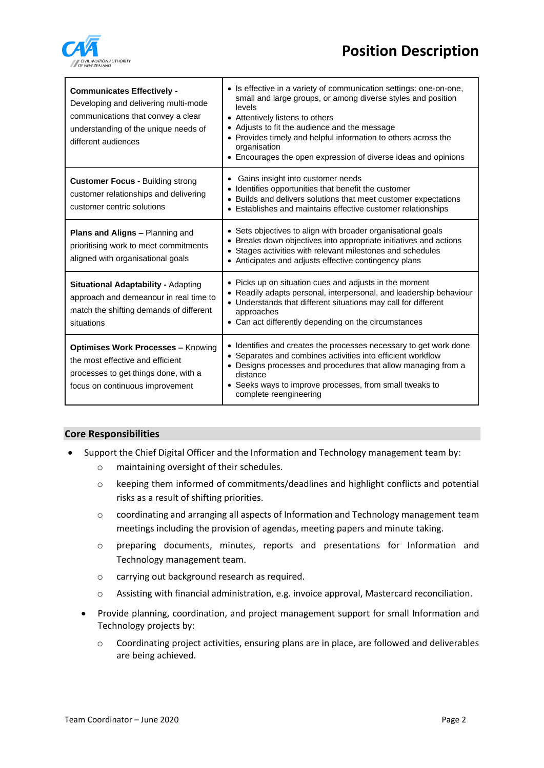# **Position Description**



| <b>Communicates Effectively -</b><br>Developing and delivering multi-mode<br>communications that convey a clear<br>understanding of the unique needs of<br>different audiences | • Is effective in a variety of communication settings: one-on-one,<br>small and large groups, or among diverse styles and position<br>levels<br>Attentively listens to others<br>Adjusts to fit the audience and the message<br>Provides timely and helpful information to others across the<br>organisation<br>Encourages the open expression of diverse ideas and opinions |
|--------------------------------------------------------------------------------------------------------------------------------------------------------------------------------|------------------------------------------------------------------------------------------------------------------------------------------------------------------------------------------------------------------------------------------------------------------------------------------------------------------------------------------------------------------------------|
| <b>Customer Focus - Building strong</b><br>customer relationships and delivering<br>customer centric solutions                                                                 | Gains insight into customer needs<br>Identifies opportunities that benefit the customer<br>Builds and delivers solutions that meet customer expectations<br>Establishes and maintains effective customer relationships                                                                                                                                                       |
| Plans and Aligns - Planning and<br>prioritising work to meet commitments<br>aligned with organisational goals                                                                  | Sets objectives to align with broader organisational goals<br>$\bullet$<br>Breaks down objectives into appropriate initiatives and actions<br>Stages activities with relevant milestones and schedules<br>Anticipates and adjusts effective contingency plans                                                                                                                |
| <b>Situational Adaptability - Adapting</b><br>approach and demeanour in real time to<br>match the shifting demands of different<br>situations                                  | Picks up on situation cues and adjusts in the moment<br>Readily adapts personal, interpersonal, and leadership behaviour<br>Understands that different situations may call for different<br>approaches<br>Can act differently depending on the circumstances                                                                                                                 |
| <b>Optimises Work Processes - Knowing</b><br>the most effective and efficient<br>processes to get things done, with a<br>focus on continuous improvement                       | • Identifies and creates the processes necessary to get work done<br>• Separates and combines activities into efficient workflow<br>Designs processes and procedures that allow managing from a<br>distance<br>Seeks ways to improve processes, from small tweaks to<br>complete reengineering                                                                               |

## **Core Responsibilities**

- Support the Chief Digital Officer and the Information and Technology management team by:
	- o maintaining oversight of their schedules.
	- o keeping them informed of commitments/deadlines and highlight conflicts and potential risks as a result of shifting priorities.
	- o coordinating and arranging all aspects of Information and Technology management team meetings including the provision of agendas, meeting papers and minute taking.
	- o preparing documents, minutes, reports and presentations for Information and Technology management team.
	- o carrying out background research as required.
	- o Assisting with financial administration, e.g. invoice approval, Mastercard reconciliation.
	- Provide planning, coordination, and project management support for small Information and Technology projects by:
		- o Coordinating project activities, ensuring plans are in place, are followed and deliverables are being achieved.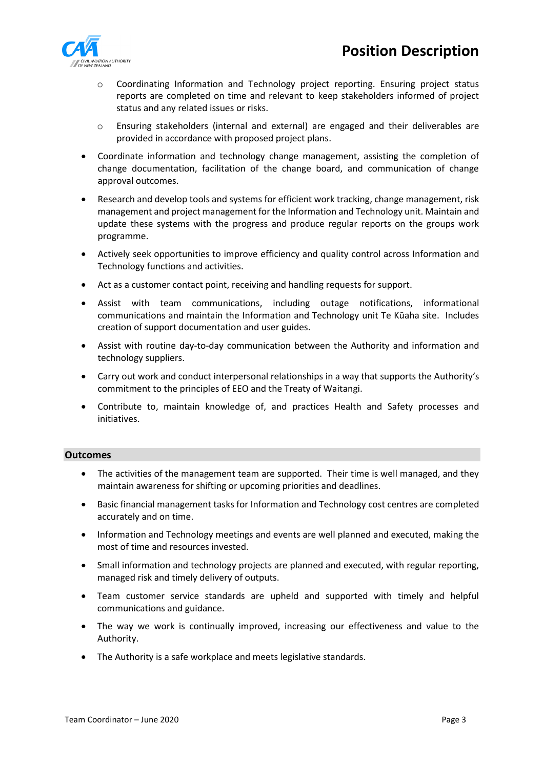

- o Coordinating Information and Technology project reporting. Ensuring project status reports are completed on time and relevant to keep stakeholders informed of project status and any related issues or risks.
- o Ensuring stakeholders (internal and external) are engaged and their deliverables are provided in accordance with proposed project plans.
- Coordinate information and technology change management, assisting the completion of change documentation, facilitation of the change board, and communication of change approval outcomes.
- Research and develop tools and systems for efficient work tracking, change management, risk management and project management for the Information and Technology unit. Maintain and update these systems with the progress and produce regular reports on the groups work programme.
- Actively seek opportunities to improve efficiency and quality control across Information and Technology functions and activities.
- Act as a customer contact point, receiving and handling requests for support.
- Assist with team communications, including outage notifications, informational communications and maintain the Information and Technology unit Te Kūaha site. Includes creation of support documentation and user guides.
- Assist with routine day-to-day communication between the Authority and information and technology suppliers.
- Carry out work and conduct interpersonal relationships in a way that supports the Authority's commitment to the principles of EEO and the Treaty of Waitangi.
- Contribute to, maintain knowledge of, and practices Health and Safety processes and initiatives.

## **Outcomes**

- The activities of the management team are supported. Their time is well managed, and they maintain awareness for shifting or upcoming priorities and deadlines.
- Basic financial management tasks for Information and Technology cost centres are completed accurately and on time.
- Information and Technology meetings and events are well planned and executed, making the most of time and resources invested.
- Small information and technology projects are planned and executed, with regular reporting, managed risk and timely delivery of outputs.
- Team customer service standards are upheld and supported with timely and helpful communications and guidance.
- The way we work is continually improved, increasing our effectiveness and value to the Authority.
- The Authority is a safe workplace and meets legislative standards.